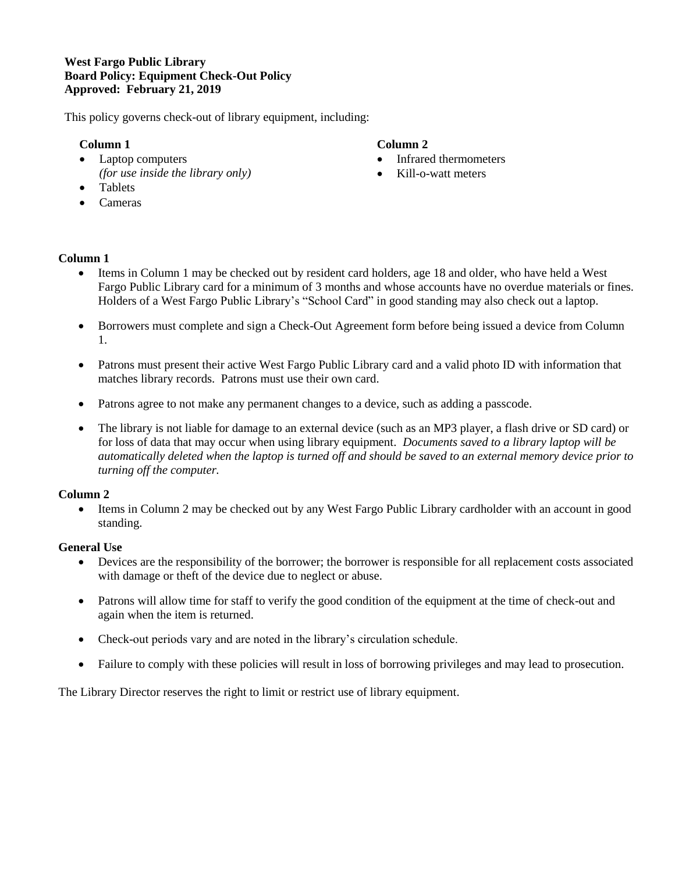# **West Fargo Public Library Board Policy: Equipment Check-Out Policy Approved: February 21, 2019**

This policy governs check-out of library equipment, including:

# **Column 1**

• Laptop computers *(for use inside the library only)*

## **Column 2**

- Infrared thermometers
- Kill-o-watt meters
- Tablets
- Cameras

# **Column 1**

- Items in Column 1 may be checked out by resident card holders, age 18 and older, who have held a West Fargo Public Library card for a minimum of 3 months and whose accounts have no overdue materials or fines. Holders of a West Fargo Public Library's "School Card" in good standing may also check out a laptop.
- Borrowers must complete and sign a Check-Out Agreement form before being issued a device from Column 1.
- Patrons must present their active West Fargo Public Library card and a valid photo ID with information that matches library records. Patrons must use their own card.
- Patrons agree to not make any permanent changes to a device, such as adding a passcode.
- The library is not liable for damage to an external device (such as an MP3 player, a flash drive or SD card) or for loss of data that may occur when using library equipment. *Documents saved to a library laptop will be automatically deleted when the laptop is turned off and should be saved to an external memory device prior to turning off the computer.*

## **Column 2**

 Items in Column 2 may be checked out by any West Fargo Public Library cardholder with an account in good standing.

## **General Use**

- Devices are the responsibility of the borrower; the borrower is responsible for all replacement costs associated with damage or theft of the device due to neglect or abuse.
- Patrons will allow time for staff to verify the good condition of the equipment at the time of check-out and again when the item is returned.
- Check-out periods vary and are noted in the library's circulation schedule.
- Failure to comply with these policies will result in loss of borrowing privileges and may lead to prosecution.

The Library Director reserves the right to limit or restrict use of library equipment.